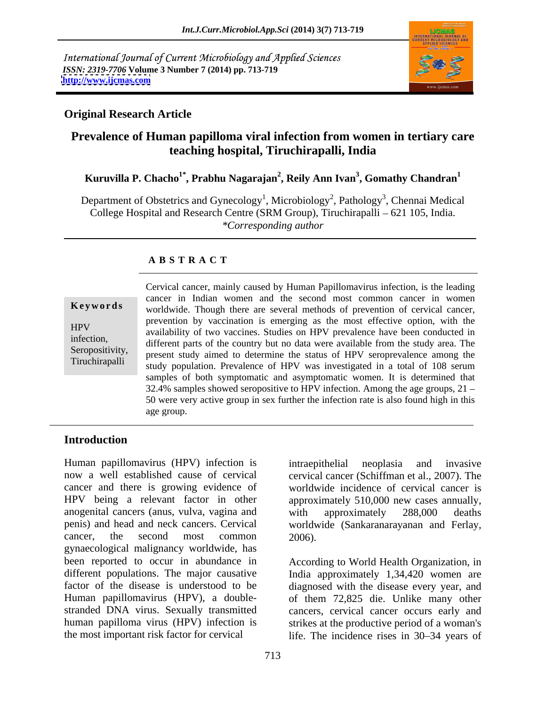International Journal of Current Microbiology and Applied Sciences *ISSN: 2319-7706* **Volume 3 Number 7 (2014) pp. 713-719 <http://www.ijcmas.com>**



### **Original Research Article**

# **Prevalence of Human papilloma viral infection from women in tertiary care teaching hospital, Tiruchirapalli, India**

### $\bold{Kuruvilla}$   $\bold{P.}$   $\bold{Chacho}^{1*}$ ,  $\bold{Prabhu}$   $\bold{Nagarajan}^2$ ,  $\bold{Reily}$   $\bold{Ann}\ \bold{Ivan}^3$ ,  $\bold{Gomathy}$   $\bold{Chandra}^1$ **, Gomathy Chandran<sup>1</sup>**

Department of Obstetrics and Gynecology<sup>1</sup>, Microbiology<sup>2</sup>, Pathology<sup>3</sup>, Chennai Medical College Hospital and Research Centre (SRM Group), Tiruchirapalli  $-621$  105, India. *\*Corresponding author*

## **A B S T R A C T**

**Keywords** worldwide. Though there are several methods of prevention of cervical cancer, HPV availability of two vaccines. Studies on HPV prevalence have been conducted in infection,<br>
different parts of the country but no data were available from the study area. The Seropositivity,<br>
Time time 11: present study aimed to determine the status of HPV seroprevalence among the Tiruchirapalli study population. Prevalence of HPV was investigated in a total of 108 serum Cervical cancer, mainly caused by Human Papillomavirus infection, is the leading cancer in Indian women and the second most common cancer in women prevention by vaccination is emerging as the most effective option, with the samples of both symptomatic and asymptomatic women. It is determined that 32.4% samples showed seropositive to HPV infection. Among the age groups, 21 50 were very active group in sex further the infection rate is also found high in this age group.

# **Introduction**

Human papillomavirus (HPV) infection is intraepithelial neoplasia and invasive now a well established cause of cervical cervical cancer (Schiffman et al., 2007). The cancer and there is growing evidence of worldwide incidence of cervical cancer is HPV being a relevant factor in other approximately 510,000 new cases annually, anogenital cancers (anus, vulva, vagina and vith approximately 288,000 deaths penis) and head and neck cancers. Cervical worldwide (Sankaranarayanan and Ferlay, cancer, the second most common 2006). gynaecological malignancy worldwide, has been reported to occur in abundance in different populations. The major causative India approximately 1,34,420 women are factor of the disease is understood to be diagnosed with the disease every year, and Human papillomavirus (HPV), a double- of them 72,825 die. Unlike many other stranded DNA virus. Sexually transmitted cancers, cervical cancer occurs early and human papilloma virus (HPV) infection is strikes at the productive period of a woman's

intraepithelial neoplasia and invasive with approximately 288,000 deaths 2006).

the most important risk factor for cervical life. The incidence rises in 30–34 years of According to World Health Organization, in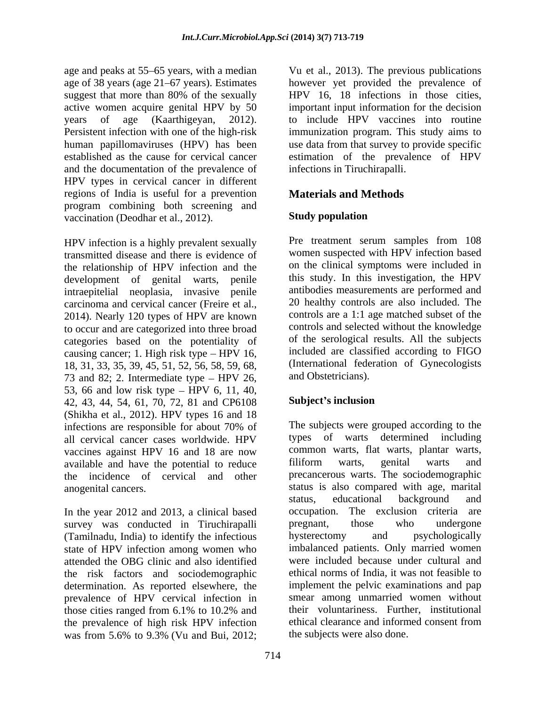age of 38 years (age 21–67 years). Estimates and the documentation of the prevalence of HPV types in cervical cancer in different regions of India is useful for a prevention program combining both screening and<br>vaccination (Deodhar et al. 2012) **Study population** vaccination (Deodhar et al., 2012).

HPV infection is a highly prevalent sexually transmitted disease and there is evidence of the relationship of HPV infection and the development of genital warts, penile intraepitelial neoplasia, invasive penile carcinoma and cervical cancer (Freire et al., 2014). Nearly 120 types of HPV are known to occur and are categorized into three broad categories based on the potentiality of causing cancer; 1. High risk type  $-$  HPV 16, 18, 31, 33, 35, 39, 45, 51, 52, 56, 58, 59, 68, 73 and 82; 2. Intermediate type  $-$  HPV 26, 53, 66 and low risk type – HPV 6, 11, 40,<br>42, 43, 44, 54, 61, 70, 72, 81 and CP6108 Subject's inclusion 42, 43, 44, 54, 61, 70, 72, 81 and CP6108 (Shikha et al., 2012). HPV types 16 and 18 infections are responsible for about 70% of The subjects were grouped according to the all cervical cancer cases worldwide. HPV types of warts determined including vaccines against HPV 16 and 18 are now<br>available and have the potential to reduce<br>filiform warts, genital warts and available and have the potential to reduce the incidence of cervical and other anogenital cancers. status is also compared with age, marital

In the year 2012 and 2013, a clinical based occupation. survey was conducted in Tiruchirapalli pregnant, those who undergone (Tamilnadu, India) to identify the infectious state of HPV infection among women who attended the OBG clinic and also identified the risk factors and sociodemographic determination. As reported elsewhere, the prevalence of HPV cervical infection in those cities ranged from 6.1% to 10.2% and their voluntariness. Further, institutional<br>the prevalence of high risk HPV infection ethical clearance and informed consent from the prevalence of high risk HPV infection was from 5.6% to 9.3% (Vu and Bui, 2012; the subjects were also done.

age and peaks at 55–65 years, with a median Vu et al., 2013). The previous publications suggest that more than 80% of the sexually HPV 16, 18 infections in those cities, active women acquire genital HPV by 50 important input information for the decision years of age (Kaarthigeyan, 2012). to include HPV vaccines into routine Persistent infection with one of the high-risk immunization program. This study aims to human papillomaviruses (HPV) has been use data from that survey to provide specific established as the cause for cervical cancer estimation of the prevalence of HPV however yet provided the prevalence of HPV 16, 18 infections in those cities, infections in Tiruchirapalli.

# **Materials and Methods**

## **Study population**

Pre treatment serum samples from 108 women suspected with HPV infection based on the clinical symptoms were included in this study. In this investigation, the HPV antibodies measurements are performed and 20 healthy controls are also included. The controls are a 1:1 age matched subset of the controls and selected without the knowledge of the serological results. All the subjects included are classified according to FIGO (International federation of Gynecologists and Obstetricians).

### **Subject s inclusion**

The subjects were grouped according to the types of warts determined including common warts, flat warts, plantar warts, filiform warts, genital warts and precancerous warts. The sociodemographic status, educational background and The exclusion criteria are pregnant, those who undergone hysterectomy and psychologically imbalanced patients. Only married women were included because under cultural and ethical norms of India, it was not feasible to implement the pelvic examinations and pap smear among unmarried women without their voluntariness. Further, institutional ethical clearance and informed consent from the subjects were also done.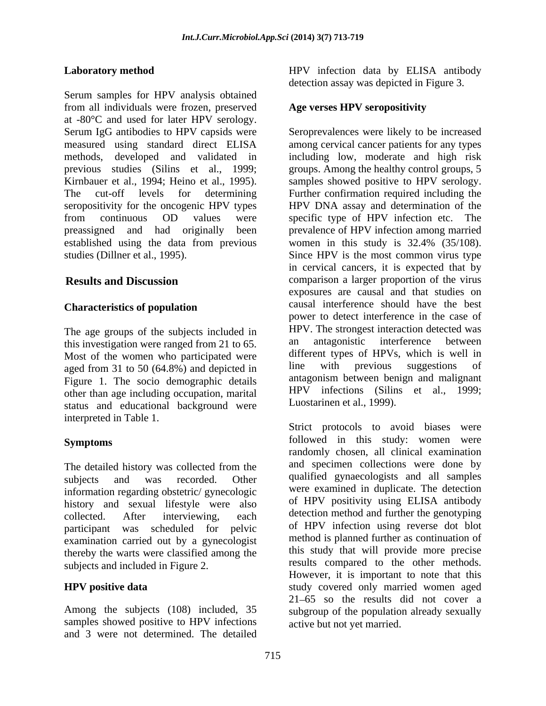Serum samples for HPV analysis obtained from all individuals were frozen, preserved at -80°C and used for later HPV serology. methods, developed and validated in established using the data from previous women in this study is 32.4% (35/108).

### **Characteristics of population**

The age groups of the subjects included in HPV. The strongest interaction detected was<br>this investigation were ranged from 21 to 65 and antagonistic interference between this investigation were ranged from 21 to 65. Most of the women who participated were different types of HPVs, which is well in aged from 31 to 50 (64.8%) and depicted in line with previous suggestions of aged from 31 to 50 (64.8%) and depicted in Figure 1. The socio demographic details other than age including occupation, marital HPV infections (Silin status, and educational background were Luostarinen et al., 1999). status and educational background were interpreted in Table 1.

The detailed history was collected from the information regarding obstetric/ gynecologic history and sexual lifestyle were also participant was scheduled for pelvic examination carried out by a gynecologist thereby the warts were classified among the subjects and included in Figure 2.

samples showed positive to HPV infections and 3 were not determined. The detailed

**Laboratory method**  HPV infection data by ELISA antibody detection assay was depicted in Figure 3.

### **Age verses HPV seropositivity**

Serum IgG antibodies to HPV capsids were Seroprevalences were likely to be increased measured using standard direct ELISA among cervical cancer patients for any types previous studies (Silins et al., 1999; groups. Among the healthy control groups, 5 Kirnbauer et al., 1994; Heino et al., 1995). Samples showed positive to HPV serology. The cut-off levels for determining Further confirmation required including the seropositivity for the oncogenic HPV types HPV DNA assay and determination of the from continuous OD values were specific type of HPV infection etc. The preassigned and had originally been prevalence of HPV infection among married studies (Dillner et al., 1995). Since HPV is the most common virus type **Results and Discussion** comparison a larger proportion of the virus including low, moderate and high risk women in this study is 32.4% (35/108). in cervical cancers, it is expected that by exposures are causal and that studies on causal interference should have the best power to detect interference in the case of HPV. The strongest interaction detected was an antagonistic interference between different types of HPVs, which is well in line with previous suggestions of antagonism between benign and malignant HPV infections (Silins et al., 1999; Luostarinen et al., 1999).

**Symptoms** followed in this study: women were subjects and was recorded. Other qualified gynaecologists and all samples collected. After interviewing, each detection method and further the genotyping **HPV positive data** study covered only married women aged Among the subjects (108) included, 35 subgroup of the population already sexually Strict protocols to avoid biases were randomly chosen, all clinical examination and specimen collections were done by were examined in duplicate. The detection of HPV positivity using ELISA antibody detection method and further the genotyping of HPV infection using reverse dot blot method is planned further as continuation of this study that will provide more precise results compared to the other methods. However, it is important to note that this 21 65 so the results did not cover a active but not yet married.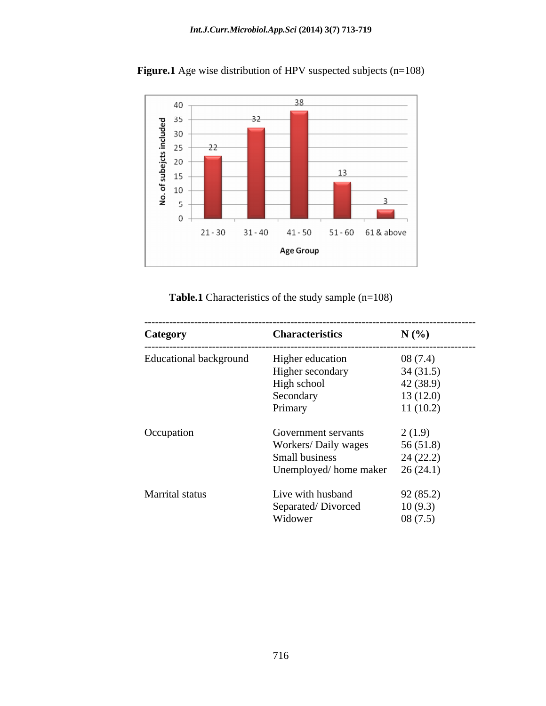

Figure.1 Age wise distribution of HPV suspected subjects (n=108)

Table.1 Characteristics of the study sample (n=108)

| Category                      | <b>Characteristics</b>      | N(%       |
|-------------------------------|-----------------------------|-----------|
| <b>Educational background</b> | Higher education            | 08(7.4)   |
|                               | Higher secondary            | 34(31.5)  |
|                               | High school                 | 42 (38.9) |
|                               | Secondary                   | 13(12.0)  |
|                               | Primary                     | 11(10.2)  |
| Occupation                    | Government servants         | 2(1.9)    |
|                               | <b>Workers/ Daily wages</b> | 56(51.8)  |
|                               | Small business              | 24(22.2)  |
|                               | Unemployed/home maker       | 26(24.1)  |
| Marrital status               | Live with husband           | 92(85.2)  |
|                               | Separated/Divorced          | 10(9.3)   |
|                               | Widower                     | 08(7.5)   |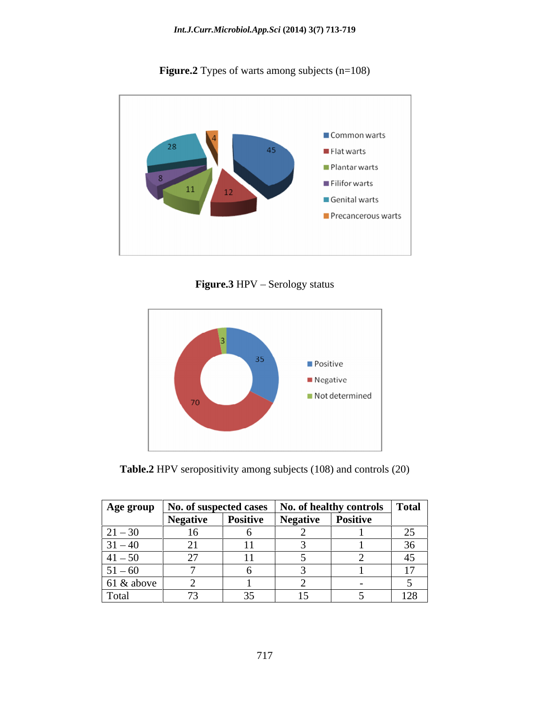

Figure.2 Types of warts among subjects (n=108)

**Figure.3** HPV - Serology status



**Table.2** HPV seropositivity among subjects (108) and controls (20)

|               |                  | Age group   No. of suspected cases   No. of healthy controls   Total |                 |                 |                    |
|---------------|------------------|----------------------------------------------------------------------|-----------------|-----------------|--------------------|
|               | <b>Negative</b>  | Positive                                                             | <b>Negative</b> | <b>Positive</b> |                    |
| $21 - 30$     |                  |                                                                      |                 |                 | $\sim$ $\sim$<br>∼ |
| $31 - 40$     | ົາ 1<br>$\sim$ 1 |                                                                      |                 |                 | 36<br>JU.          |
| $ 41 - 50 $   |                  |                                                                      |                 |                 | $\Lambda$          |
| $51 - 60$     |                  |                                                                      |                 |                 |                    |
| $61 \& above$ |                  |                                                                      |                 |                 |                    |
| Total         |                  |                                                                      | 15<br>IJ        |                 | 128                |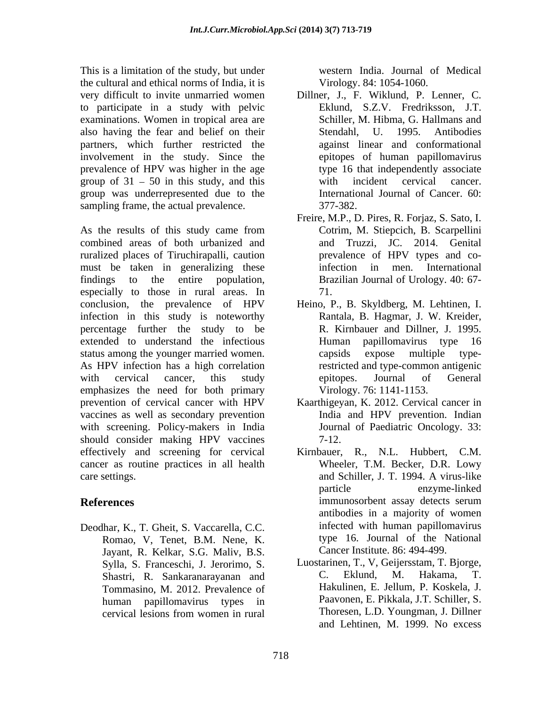This is a limitation of the study, but under the cultural and ethical norms of India, it is to participate in a study with pelvic examinations. Women in tropical area are also having the fear and belief on their partners, which further restricted the involvement in the study. Since the prevalence of HPV was higher in the age group of  $31 - 50$  in this study, and this with incident cervical cancer. group was underrepresented due to the sampling frame, the actual prevalence. 377-382.

As the results of this study came from Cotrim, M. Stiepcich, B. Scarpellini combined areas of both urbanized and ruralized places of Tiruchirapalli, caution must be taken in generalizing these infection in men. International findings to the entire population, Brazilian Journal of Urology. 40: 67 especially to those in rural areas. In  $71$ . conclusion, the prevalence of HPV Heino, P., B. Skyldberg, M. Lehtinen, I. infection in this study is noteworthy percentage further the study to be extended to understand the infectious status among the younger married women. The capsidence exposed multiple type-As HPV infection has a high correlation with cervical cancer, this study beitopes. Journal of General emphasizes the need for both primary prevention of cervical cancer with HPV Kaarthigeyan, K. 2012. Cervical cancer in vaccines as well as secondary prevention with screening. Policy-makers in India should consider making HPV vaccines 7-12. effectively and screening for cervical cancer as routine practices in all health care settings. The and Schiller, J. T. 1994. A virus-like

Deodhar, K., T. Gheit, S. Vaccarella, C.C. Romao, V, Tenet, B.M. Nene, K. Jayant, R. Kelkar, S.G. Maliv, B.S. Shastri, R. Sankaranarayanan and Tommasino, M. 2012. Prevalence of western India. Journal of Medical Virology. 84: 1054-1060.

- very difficult to invite unmarried women Dillner, J., F. Wiklund, P. Lenner, C. Eklund, S.Z.V. Fredriksson, J.T. Schiller, M. Hibma, G. Hallmans and Stendahl, U. 1995. Antibodies against linear and conformational epitopes of human papillomavirus type 16 that independently associate with incident cervical cancer. International Journal of Cancer. 60: 377-382.
	- Freire, M.P., D. Pires, R. Forjaz, S. Sato, I. Cotrim, M. Stiepcich, B. Scarpellini and Truzzi, JC. 2014. Genital prevalence of HPV types and coinfection in men. International 71.
	- Rantala, B. Hagmar, J. W. Kreider, R. Kirnbauer and Dillner, J. 1995. Human papillomavirus type 16 capsids expose multiple typerestricted and type-common antigenic epitopes. Journal of General Virology. 76: 1141-1153.
	- India and HPV prevention. Indian Journal of Paediatric Oncology. 33: 7-12.
- **References Example 2 CONFIDENTIFY EXAMPLE 2 CONFIDENTIFY EXAMPLE 2 CONFIDENTIFY EXAMPLE 2 CONFIDENTIFY EXAMPLE 2 CONFIDENTIFY EXAMPLE 2 CONFIDENTIFY EXAMPLE 2 CONFIDENTIFY EXAMPLE 2 CONFIDE** R., N.L. Hubbert, C.M. Wheeler, T.M. Becker, D.R. Lowy and Schiller, J. T. 1994. A virus-like particle enzyme-linked immunosorbent assay detects serum antibodies in a majority of women infected with human papillomavirus type 16. Journal of the National Cancer Institute. 86: 494-499.
	- Sylla, S. Franceschi, J. Jerorimo, S. Luostarinen, T., V. Geijersstam, T. Bjorge, Shastri R. Sankaranaravanan and C. Eklund. M. Hakama. T. human papillomavirus types in Paavonen, E. Pikkala, J.T. Schiller, S. cervical lesions from women in rural Luostarinen, T., V, Geijersstam, T. Bjorge, C. Eklund, M. Hakama, T. Hakulinen, E. Jellum, P. Koskela, J. Paavonen, E. Pikkala, J.T. Schiller, S. Thoresen, L.D. Youngman, J. Dillner and Lehtinen, M. 1999. No excess